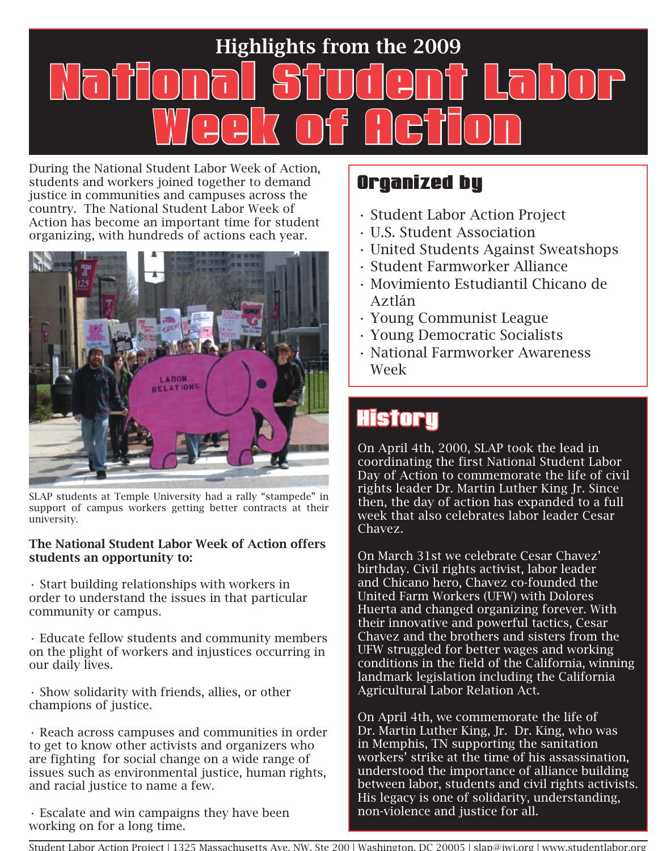# Highlights from the 2009 National Student Labor ational Week of detion

During the National Student Labor Week of Action, students and workers joined together to demand justice in communities and campuses across the country. The National Student Labor Week of Action has become an important time for student organizing, with hundreds of actions each year.



SLAP students at Temple University had a rally "stampede" in support of campus workers getting better contracts at their university.

#### The National Student Labor Week of Action offers students an opportunity to:

• Start building relationships with workers in order to understand the issues in that particular community or campus.

• Educate fellow students and community members on the plight of workers and injustices occurring in our daily lives.

• Show solidarity with friends, allies, or other champions of justice.

• Reach across campuses and communities in order to get to know other activists and organizers who are fighting for social change on a wide range of issues such as environmental justice, human rights, and racial justice to name a few.

• Escalate and win campaigns they have been working on for a long time.

#### Organized by

- Student Labor Action Project
- U.S. Student Association
- United Students Against Sweatshops
- Student Farmworker Alliance
- Movimiento Estudiantil Chicano de Aztlán
- Young Communist League
- Young Democratic Socialists
- National Farmworker Awareness Week

## **History**

On April 4th, 2000, SLAP took the lead in coordinating the first National Student Labor Day of Action to commemorate the life of civil rights leader Dr. Martin Luther King Jr. Since then, the day of action has expanded to a full week that also celebrates labor leader Cesar Chavez.

On March 31st we celebrate Cesar Chavez' birthday. Civil rights activist, labor leader and Chicano hero, Chavez co-founded the United Farm Workers (UFW) with Dolores Huerta and changed organizing forever. With their innovative and powerful tactics, Cesar Chavez and the brothers and sisters from the UFW struggled for better wages and working conditions in the field of the California, winning landmark legislation including the California Agricultural Labor Relation Act.

On April 4th, we commemorate the life of Dr. Martin Luther King, Jr. Dr. King, who was in Memphis, TN supporting the sanitation workers' strike at the time of his assassination, understood the importance of alliance building between labor, students and civil rights activists. His legacy is one of solidarity, understanding, non-violence and justice for all.

Student Labor Action Project | 1325 Massachusetts Ave. NW, Ste 200 | Washington, DC 20005 | slap@jwj.org | www.studentlabor.org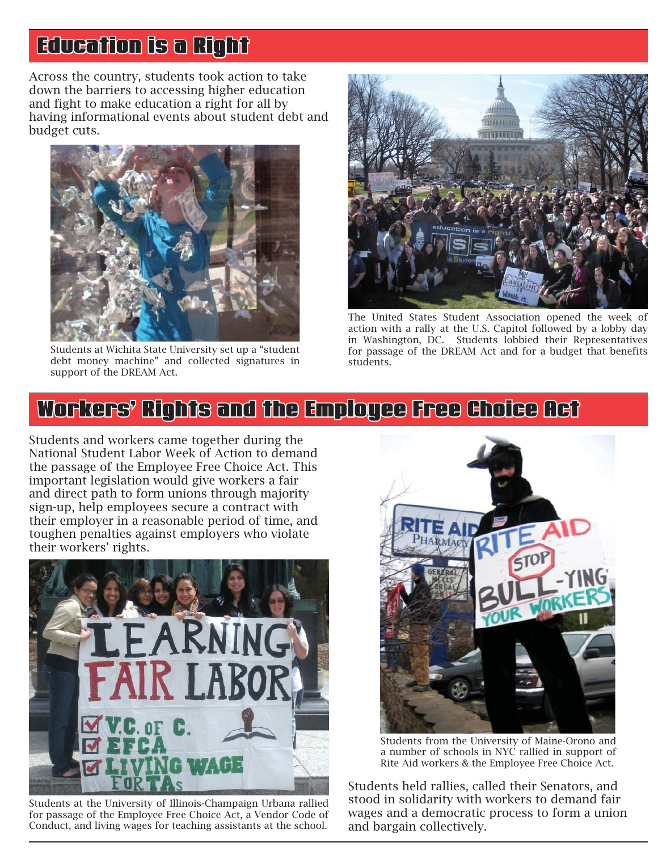## Education is a Right

Across the country, students took action to take down the barriers to accessing higher education and fight to make education a right for all by having informational events about student debt and budget cuts.



Students at Wichita State University set up a "student debt money machine" and collected signatures in support of the DREAM Act.



The United States Student Association opened the week of action with a rally at the U.S. Capitol followed by a lobby day in Washington, DC. Students lobbied their Representatives for passage of the DREAM Act and for a budget that benefits students.

#### Workers' Rights and the Employee Free Choice Act

Students and workers came together during the National Student Labor Week of Action to demand the passage of the Employee Free Choice Act. This important legislation would give workers a fair and direct path to form unions through majority sign-up, help employees secure a contract with their employer in a reasonable period of time, and toughen penalties against employers who violate their workers' rights.



Students at the University of Illinois-Champaign Urbana rallied for passage of the Employee Free Choice Act, a Vendor Code of Conduct, and living wages for teaching assistants at the school.



Students from the University of Maine-Orono and a number of schools in NYC rallied in support of Rite Aid workers & the Employee Free Choice Act.

Students held rallies, called their Senators, and stood in solidarity with workers to demand fair wages and a democratic process to form a union and bargain collectively.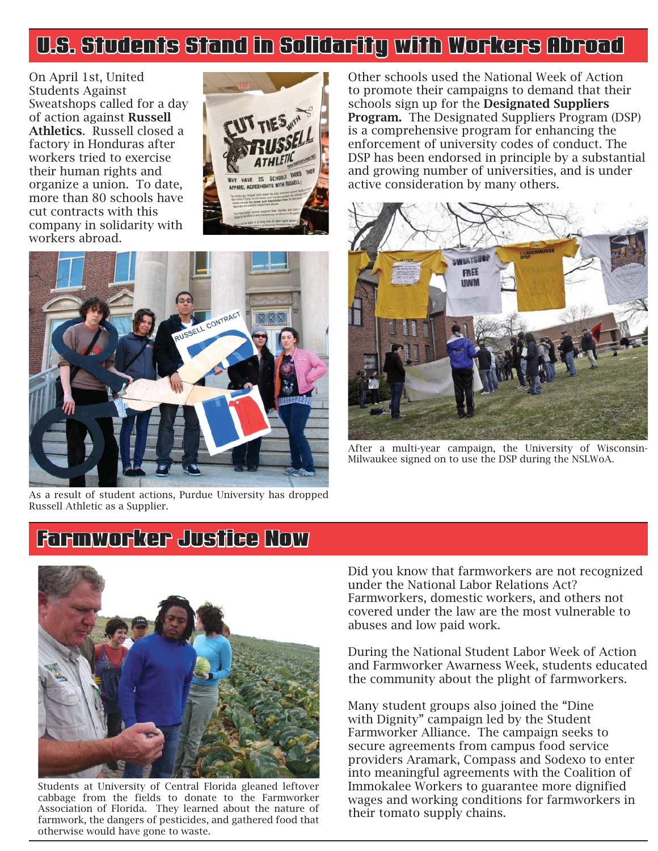### U.S. Students Stand in Solidarity with Workers Abroad .S.

On April 1st, United Students Against Sweatshops called for a day of action against Russell Athletics. Russell closed a factory in Honduras after workers tried to exercise their human rights and organize a union. To date, more than 80 schools have cut contracts with this company in solidarity with workers abroad.





As a result of student actions, Purdue University has dropped Russell Athletic as a Supplier.

Other schools used the National Week of Action to promote their campaigns to demand that their schools sign up for the Designated Suppliers Program. The Designated Suppliers Program (DSP) is a comprehensive program for enhancing the enforcement of university codes of conduct. The DSP has been endorsed in principle by a substantial and growing number of universities, and is under active consideration by many others.



After a multi-year campaign, the University of Wisconsin-Milwaukee signed on to use the DSP during the NSLWoA.

#### Farmworker Justice Now



Students at University of Central Florida gleaned leftover cabbage from the fields to donate to the Farmworker Association of Florida. They learned about the nature of farmwork, the dangers of pesticides, and gathered food that otherwise would have gone to waste.

Did you know that farmworkers are not recognized under the National Labor Relations Act? Farmworkers, domestic workers, and others not covered under the law are the most vulnerable to abuses and low paid work.

During the National Student Labor Week of Action and Farmworker Awarness Week, students educated the community about the plight of farmworkers.

Many student groups also joined the "Dine with Dignity" campaign led by the Student Farmworker Alliance. The campaign seeks to secure agreements from campus food service providers Aramark, Compass and Sodexo to enter into meaningful agreements with the Coalition of Immokalee Workers to guarantee more dignified wages and working conditions for farmworkers in their tomato supply chains.